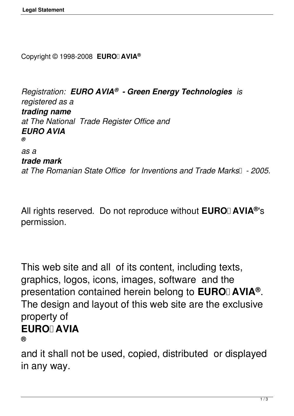Copyright © 1998-2008 **EURO AVIA®**

*Registration: EURO AVIA® - Green Energy Technologies is registered as a trading name at The National Trade Register Office and EURO AVIA ® as a trade mark* at The Romanian State Office for Inventions and Trade Marks<sup>1</sup> - 2005.

All rights reserved. Do not reproduce without EURO I AVIA<sup>®</sup>'s permission.

This web site and all of its content, including texts, graphics, logos, icons, images, software and the presentation contained herein belong to **EURO** AVIA<sup>®</sup>. The design and layout of this web site are the exclusive property of **EURO AVIA** 

**®**

and it shall not be used, copied, distributed or displayed in any way.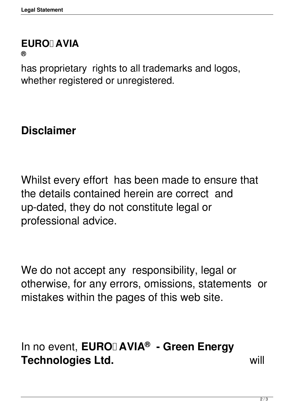## **EURO AVIA**

**®**

has proprietary rights to all trademarks and logos, whether registered or unregistered.

## **Disclaimer**

Whilst every effort has been made to ensure that the details contained herein are correct and up-dated, they do not constitute legal or professional advice.

We do not accept any responsibility, legal or otherwise, for any errors, omissions, statements or mistakes within the pages of this web site.

In no event, **EURO** AVIA<sup>®</sup> - Green Energy **Technologies Ltd.** will